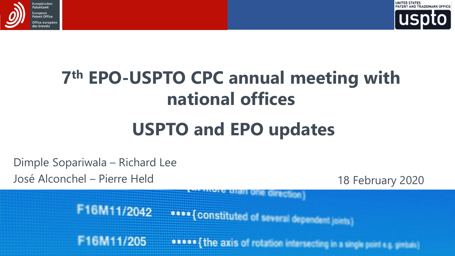



## **7th EPO-USPTO CPC annual meeting with national offices**

## **USPTO and EPO updates**

Dimple Sopariwala – Richard Lee

F16M11/205

José Alconchel – Pierre Held 18 February 2020

F16M11/2042 **0000 { CONStituted of several dependent joints)** 

o o o o { the axis of rotation intersecting in a single point e.g. ginitals)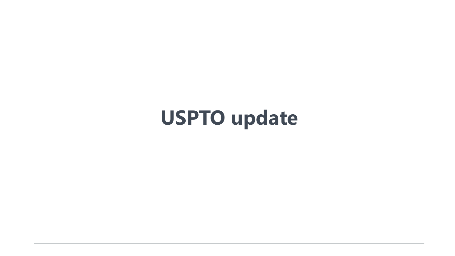**USPTO update**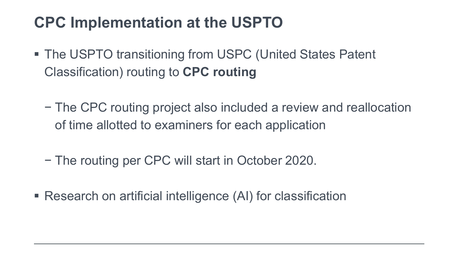## **CPC Implementation at the USPTO**

- The USPTO transitioning from USPC (United States Patent Classification) routing to **CPC routing**
	- − The CPC routing project also included a review and reallocation of time allotted to examiners for each application
	- − The routing per CPC will start in October 2020.
- Research on artificial intelligence (AI) for classification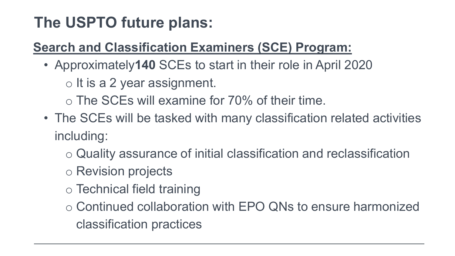## **The USPTO future plans:**

#### **Search and Classification Examiners (SCE) Program:**

• Approximately**140** SCEs to start in their role in April 2020

o It is a 2 year assignment.

o The SCEs will examine for 70% of their time.

- The SCEs will be tasked with many classification related activities including:
	- o Quality assurance of initial classification and reclassification
	- o Revision projects
	- o Technical field training
	- o Continued collaboration with EPO QNs to ensure harmonized classification practices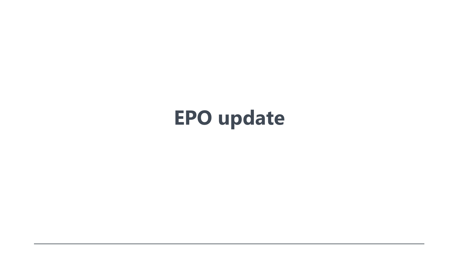## **EPO update**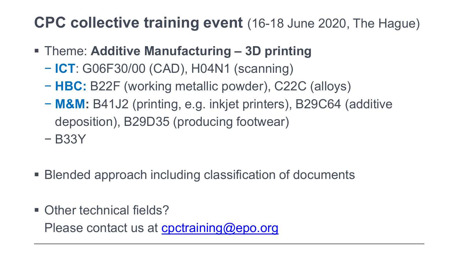### **CPC collective training event** (16-18 June 2020, The Hague)

- Theme: **Additive Manufacturing – 3D printing**
	- − **ICT**: G06F30/00 (CAD), H04N1 (scanning)
	- − **HBC:** B22F (working metallic powder), C22C (alloys)
	- − **M&M:** B41J2 (printing, e.g. inkjet printers), B29C64 (additive deposition), B29D35 (producing footwear)
	- − B33Y
- Blended approach including classification of documents
- Other technical fields?

Please contact us at [cpctraining@epo.org](mailto:cpctraining@epo.org)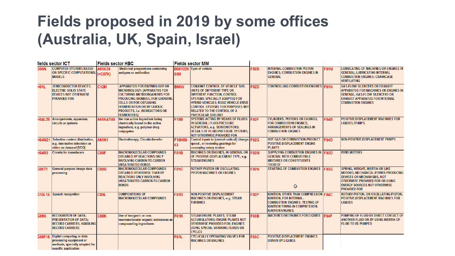### **Fields proposed in 2019 by some offices (Australia, UK, Spain, Israel)**

| fields sector ICT |                                                                                                                           | <b>Fields sector HBC</b> |                                                                                                                                                                                                                                                                                       | <b>Fields sector MM</b> |                                                                                                                                                                                                                                                                                                                  |             |                                                                                                                                                                                              |             |                                                                                                                                                                                                                           |
|-------------------|---------------------------------------------------------------------------------------------------------------------------|--------------------------|---------------------------------------------------------------------------------------------------------------------------------------------------------------------------------------------------------------------------------------------------------------------------------------|-------------------------|------------------------------------------------------------------------------------------------------------------------------------------------------------------------------------------------------------------------------------------------------------------------------------------------------------------|-------------|----------------------------------------------------------------------------------------------------------------------------------------------------------------------------------------------|-------------|---------------------------------------------------------------------------------------------------------------------------------------------------------------------------------------------------------------------------|
| 306N              | <b>COMPUTER SYSTEMS BASED</b><br>ON SPECIFIC COMPUTATIONAL (+C07K)<br><b>MODELS</b>                                       | A61K39                   | <b>Medicinal preparations containing</b><br>antigens or antibodies                                                                                                                                                                                                                    | 0/00                    | B60Y220 Type of vehicle                                                                                                                                                                                                                                                                                          | F02B        | <b>INTERNAL-COMBUSTION PISTON</b><br><b>ENGINES: COMBUSTION ENGINES IN</b><br><b>GENERAL</b>                                                                                                 | <b>F01M</b> | <b>LUBRICATING OF MACHINES OR ENGINES IN</b><br><b>GENERAL: LUBRICATING INTERNAL</b><br><b>COMBUSTION ENGINES; CRANKCASE</b><br><b>VENTILATING</b>                                                                        |
| H <sub>01L</sub>  | <b>SEMICONDUCTOR DEVICES:</b><br><b>ELECTRIC SOLID STATE</b><br><b>DEVICES NOT OTHERWISE</b><br><b>PROVIDED FOR</b>       | <b>C12M</b>              | <b>APPARATUS FOR ENZYMOLOGY OR</b><br><b>MICROBIOLOGY; {APPARATUS FOR</b><br><b>CULTURING MICROORGANISMS FOR</b><br><b>PRODUCING BIOMASS, FOR GROWING</b><br><b>CELLS OR FOR OBTAINING</b><br><b>FERMENTATION OR METABOLIC</b><br>PRODUCTS, i.e. BIOREACTORS OR<br><b>FERMENTERSY</b> | <b>B60W</b>             | <b>CONJOINT CONTROL OF VEHICLE SUB-</b><br>UNITS OF DIFFERENT TYPE OR<br><b>DIFFERENT FUNCTION: CONTROL</b><br><b>SYSTEMS SPECIALLY ADAPTED FOR</b><br><b>HYBRID VEHICLES: ROAD VEHICLE DRIVE</b><br><b>CONTROL SYSTEMS FOR PURPOSES NOT</b><br><b>RELATED TO THE CONTROL OF A</b><br><b>PARTICULAR SUB-UNIT</b> | <b>F02D</b> | <b>CONTROLLING COMBUSTION ENGINES F01N</b>                                                                                                                                                   |             | <b>GAS-FLOW SILENCERS OR EXHAUST</b><br><b>APPARATUS FOR MACHINES OR ENGINES IN</b><br><b>GENERAL: GAS-FLOW SILENCERS OR</b><br><b>EXHAUST APPARATUS FOR INTERNAL</b><br><b>COMBUSTION ENGINES</b>                        |
| <b>H04L29</b>     | Arrangements, apparatus,<br>circuits or systems                                                                           | A61K47/50                | the non-active ingredient being<br>chemically bound to the active<br>ingredient, e.g. polymer-drug<br>conjugates                                                                                                                                                                      | F15B                    | SYSTEMS ACTING BY MEANS OF FLUIDS FO2F<br>IN GENERAL: FLUID-PRESSURE<br><b>ACTUATORS, e.g. SERVOMOTORS;</b><br>DETAILS OF FLUID-PRESSURE SYSTEMS.<br><b>NOT OTHERWISE PROVIDED FOR</b>                                                                                                                           |             | <b>CYLINDERS, PISTONS OR CASINGS.</b><br><b>FOR COMBUSTION ENGINES:</b><br><b>ARRANGEMENTS OF SEALINGS IN</b><br><b>COMBUSTION ENGINES</b>                                                   | <b>F04B</b> | POSITIVE-DISPLACEMENT MACHINES FOR<br><b>LIQUIDS: PUMPS</b>                                                                                                                                                               |
| <b>H04N21</b>     | Selective content distribution,<br>e.g. interactive television or<br>video on demand [VOD]                                | A61N1                    | <b>Electrotherapy; Circuits therefor</b>                                                                                                                                                                                                                                              | F16H59-<br>63           | Control inputs to {control units of} change-F02G<br>speed-, or reversing-gearings for<br>conveying rotary motion                                                                                                                                                                                                 |             | <b>HOT GAS OR COMBUSTION-PRODUCT</b><br><b>POSITIVE-DISPLACEMENT ENGINE</b><br><b>PLANTS</b>                                                                                                 | <b>F04D</b> | <b>NON-POSITIVE-DISPLACEMENT PUMPS</b>                                                                                                                                                                                    |
| <b>H04R3</b>      | <b>Circuits for transducers</b>                                                                                           | C08F                     | <b>MACROMOLECULAR COMPOUNDS</b><br><b>OBTAINED BY REACTIONS ONLY</b><br><b>INVOLVING CARBON-TO-CARBON</b><br><b>UNSATURATED BONDS</b>                                                                                                                                                 | F01B                    | MACHINES OR ENGINES, IN GENERAL OR F02M<br>OF POSITIVE-DISPLACEMENT TYPE, e.g.<br><b>STEAM ENGINES</b>                                                                                                                                                                                                           |             | SUPPLYING COMBUSTION ENGINES IN FO3D<br><b>GENERAL WITH COMBUSTIBLE</b><br><b>MIXTURES OR CONSTITUENTS</b><br><b>THEREOF</b>                                                                 |             | <b>WIND MOTORS</b>                                                                                                                                                                                                        |
| G06T1             | General purpose image data<br>processing                                                                                  | 0802                     | <b>MACROMOLECULAR COMPOUNDS</b><br><b>OBTAINED OTHERWISE THAN BY</b><br><b>REACTIONS ONLY INVOLVING</b><br><b>UNSATURATED CARBON-TO-CARBON</b><br><b>BONDS</b>                                                                                                                        | <b>F01C</b>             | <b>ROTARY-PISTON OR OSCILLATING-</b><br><b>PISTON MACHINES OR ENGINES</b>                                                                                                                                                                                                                                        | <b>F02N</b> | <b>STARTING OF COMBUSTION ENGINES</b><br>O                                                                                                                                                   | <b>F03G</b> | <b>SPRING. WEIGHT. INERTIA OR LIKE</b><br><b>MOTORS: MECHANICAL-POWER PRODUCING</b><br><b>DEVICES OR MECHANISMS, NOT</b><br>OTHERWISE PROVIDED FOR OR USING<br><b>ENERGY SOURCES NOT OTHERWISE</b><br><b>PROVIDED FOR</b> |
| 310L15            | <b>Speech recognition</b>                                                                                                 | <b>C08L</b>              | <b>COMPOSITIONS OF</b><br><b>MACROMOLECULAR COMPOUNDS</b>                                                                                                                                                                                                                             | <b>F01D</b>             | <b>NON-POSITIVE DISPLACEMENT</b><br><b>MACHINES OR ENGINES, e.g. STEAM</b><br><b>TURBINES</b>                                                                                                                                                                                                                    | <b>F02P</b> | <b>IGNITION, OTHER THAN COMPRESSION F04C</b><br><b>IGNITION. FOR INTERNAL-</b><br><b>COMBUSTION ENGINES: TESTING OF</b><br><b>IGNITION TIMING IN COMPRESSION-</b><br><b>IGNITION ENGINES</b> |             | ROTARY-PISTON, OR OSCILLATING-PISTON.<br><b>POSITIVE-DISPLACEMENT MACHINES FOR</b><br><b>LIQUIDS</b>                                                                                                                      |
| <b>G06K</b>       | <b>RECOGNITION OF DATA:</b><br><b>PRESENTATION OF DATA:</b><br><b>RECORD CARRIERS: HANDLING</b><br><b>RECORD CARRIERS</b> | C08K                     | Use of inorganic or non-<br>macromolecular organic substances as<br>compounding ingredients                                                                                                                                                                                           | <b>F01K</b>             | <b>STEAM ENGINE PLANTS; STEAM</b><br><b>ACCUMULATORS: ENGINE PLANTS NOT</b><br><b>OTHERWISE PROVIDED FOR: ENGINES</b><br><b>USING SPECIAL WORKING FLUIDS OR</b><br><b>CYCLES</b>                                                                                                                                 | F03B        | <b>MACHINES OR ENGINES FOR LIQUIDS</b>                                                                                                                                                       | <b>FOAF</b> | PUMPING OF FLUID BY DIRECT CONTACT OF<br>ANOTHER FLUID OR BY USING INERTIA OF<br><b>FLUID TO BE PUMPED</b>                                                                                                                |
|                   | 306F19 Digital computing or data<br>processing equipment or<br>methods, specially adapted for<br>specific application     |                          |                                                                                                                                                                                                                                                                                       | <b>F01L</b>             | <b>CYCLICALLY OPERATING VALVES FOR</b><br><b>MACHINES OR ENGINES</b>                                                                                                                                                                                                                                             | <b>F03C</b> | <b>POSITIVE-DISPLACEMENT ENGINES</b><br><b>DRIVEN BY LIQUIDS</b>                                                                                                                             |             |                                                                                                                                                                                                                           |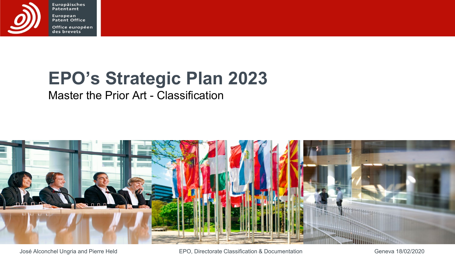

Europäisches<br>Patentamt European<br>Patent Office Office européen<br>des brevets

## **EPO's Strategic Plan 2023**

#### Master the Prior Art - Classification



José Alconchel Ungria and Pierre Held EPO, Directorate Classification & Documentation Geneva 18/02/2020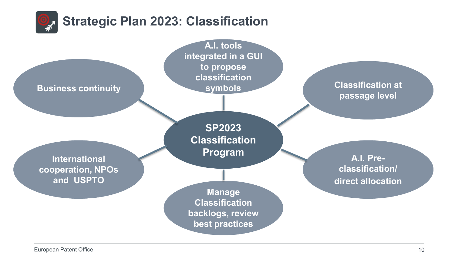

European Patent Office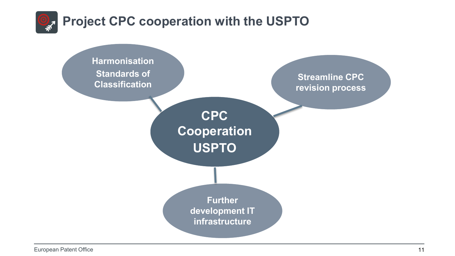

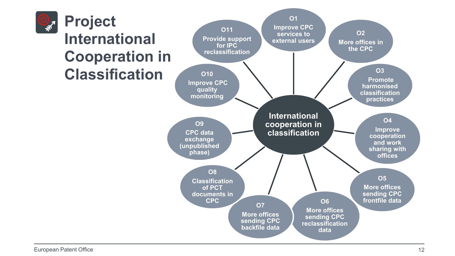

**Project International Cooperation in Classification**

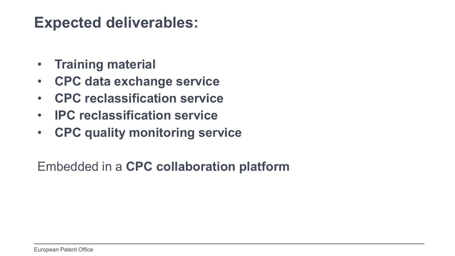#### **Expected deliverables:**

- **Training material**
- **CPC data exchange service**
- **CPC reclassification service**
- **IPC reclassification service**
- **CPC quality monitoring service**

Embedded in a **CPC collaboration platform**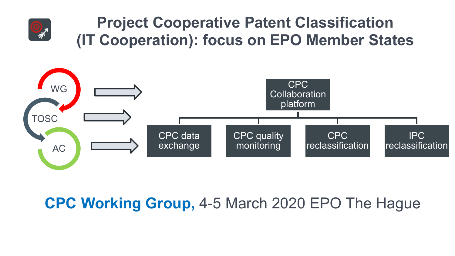

## **Project Cooperative Patent Classification (IT Cooperation): focus on EPO Member States**



## **CPC Working Group,** 4-5 March 2020 EPO The Hague